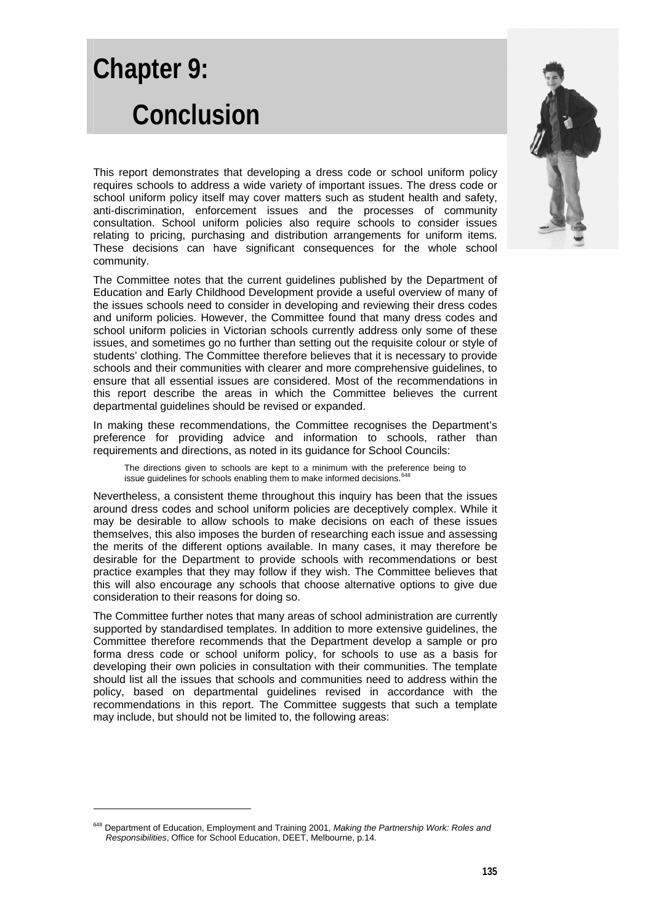# **Chapter 9: Conclusion**

This report demonstrates that developing a dress code or school uniform policy requires schools to address a wide variety of important issues. The dress code or school uniform policy itself may cover matters such as student health and safety, anti-discrimination, enforcement issues and the processes of community consultation. School uniform policies also require schools to consider issues relating to pricing, purchasing and distribution arrangements for uniform items. These decisions can have significant consequences for the whole school community.

The Committee notes that the current guidelines published by the Department of Education and Early Childhood Development provide a useful overview of many of the issues schools need to consider in developing and reviewing their dress codes and uniform policies. However, the Committee found that many dress codes and school uniform policies in Victorian schools currently address only some of these issues, and sometimes go no further than setting out the requisite colour or style of students' clothing. The Committee therefore believes that it is necessary to provide schools and their communities with clearer and more comprehensive guidelines, to ensure that all essential issues are considered. Most of the recommendations in this report describe the areas in which the Committee believes the current departmental guidelines should be revised or expanded.

In making these recommendations, the Committee recognises the Department's preference for providing advice and information to schools, rather than requirements and directions, as noted in its guidance for School Councils:

The directions given to schools are kept to a minimum with the preference being to issue guidelines for schools enabling them to make informed decisions.<sup>6</sup>

Nevertheless, a consistent theme throughout this inquiry has been that the issues around dress codes and school uniform policies are deceptively complex. While it may be desirable to allow schools to make decisions on each of these issues themselves, this also imposes the burden of researching each issue and assessing the merits of the different options available. In many cases, it may therefore be desirable for the Department to provide schools with recommendations or best practice examples that they may follow if they wish. The Committee believes that this will also encourage any schools that choose alternative options to give due consideration to their reasons for doing so.

The Committee further notes that many areas of school administration are currently supported by standardised templates. In addition to more extensive guidelines, the Committee therefore recommends that the Department develop a sample or pro forma dress code or school uniform policy, for schools to use as a basis for developing their own policies in consultation with their communities. The template should list all the issues that schools and communities need to address within the policy, based on departmental guidelines revised in accordance with the recommendations in this report. The Committee suggests that such a template may include, but should not be limited to, the following areas:

-



<span id="page-0-0"></span><sup>648</sup> Department of Education, Employment and Training 2001, *Making the Partnership Work: Roles and Responsibilities*, Office for School Education, DEET, Melbourne, p.14.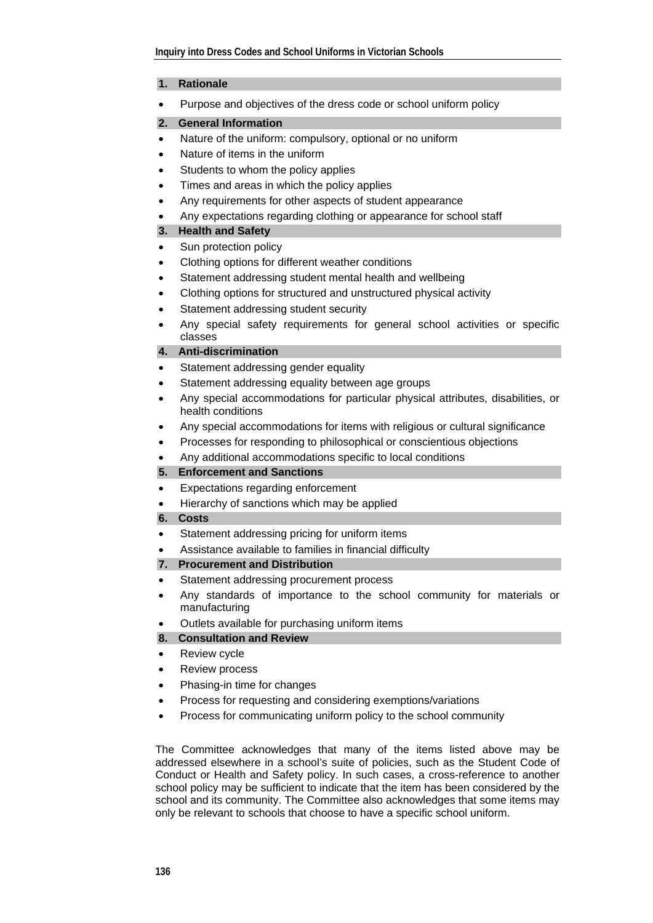#### **1. Rationale**

• Purpose and objectives of the dress code or school uniform policy

### **2. General Information**

- Nature of the uniform: compulsory, optional or no uniform
- Nature of items in the uniform
- Students to whom the policy applies
- Times and areas in which the policy applies
- Any requirements for other aspects of student appearance
- Any expectations regarding clothing or appearance for school staff

### **3. Health and Safety**

- Sun protection policy
- Clothing options for different weather conditions
- Statement addressing student mental health and wellbeing
- Clothing options for structured and unstructured physical activity
- Statement addressing student security
- Any special safety requirements for general school activities or specific classes

### **4. Anti-discrimination**

- Statement addressing gender equality
- Statement addressing equality between age groups
- Any special accommodations for particular physical attributes, disabilities, or health conditions
- Any special accommodations for items with religious or cultural significance
- Processes for responding to philosophical or conscientious objections
- Any additional accommodations specific to local conditions

# **5. Enforcement and Sanctions**

- Expectations regarding enforcement
- Hierarchy of sanctions which may be applied

#### **6. Costs**

- Statement addressing pricing for uniform items
- Assistance available to families in financial difficulty
- **7. Procurement and Distribution**
- Statement addressing procurement process
- Any standards of importance to the school community for materials or manufacturing
- Outlets available for purchasing uniform items

# **8. Consultation and Review**

- Review cycle
- Review process
- Phasing-in time for changes
- Process for requesting and considering exemptions/variations
- Process for communicating uniform policy to the school community

The Committee acknowledges that many of the items listed above may be addressed elsewhere in a school's suite of policies, such as the Student Code of Conduct or Health and Safety policy. In such cases, a cross-reference to another school policy may be sufficient to indicate that the item has been considered by the school and its community. The Committee also acknowledges that some items may only be relevant to schools that choose to have a specific school uniform.